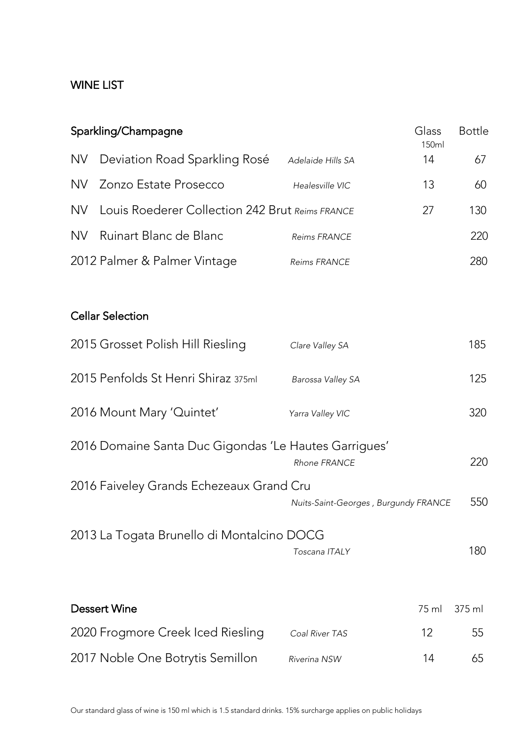## WINE LIST

| Sparkling/Champagne |                                                       |                                      | Glass<br>150ml | <b>Bottle</b> |
|---------------------|-------------------------------------------------------|--------------------------------------|----------------|---------------|
| <b>NV</b>           | Deviation Road Sparkling Rosé                         | Adelaide Hills SA                    | 14             | 67            |
| NV                  | Zonzo Estate Prosecco                                 | Healesville VIC                      | 13             | 60            |
| NV.                 | Louis Roederer Collection 242 Brut Reims FRANCE       |                                      | 27             | 130           |
| NV.                 | Ruinart Blanc de Blanc                                | <b>Reims FRANCE</b>                  |                | 220           |
|                     | 2012 Palmer & Palmer Vintage                          | Reims FRANCE                         |                | 280           |
|                     | <b>Cellar Selection</b>                               |                                      |                |               |
|                     | 2015 Grosset Polish Hill Riesling                     | Clare Valley SA                      |                | 185           |
|                     | 2015 Penfolds St Henri Shiraz 375ml                   | Barossa Valley SA                    |                | 125           |
|                     | 2016 Mount Mary 'Quintet'                             | Yarra Valley VIC                     |                | 320           |
|                     | 2016 Domaine Santa Duc Gigondas 'Le Hautes Garrigues' | Rhone FRANCE                         |                | 220           |
|                     | 2016 Faiveley Grands Echezeaux Grand Cru              | Nuits-Saint-Georges, Burgundy FRANCE |                | 550           |
|                     | 2013 La Togata Brunello di Montalcino DOCG            | Toscana ITALY                        |                | 180           |
|                     | Dessert Wine                                          |                                      | 75 ml          | $375$ m       |
|                     | 2020 Frogmore Creek Iced Riesling                     | Coal River TAS                       | 12             | 55            |
|                     | 2017 Noble One Botrytis Semillon                      | Riverina NSW                         | 14             | 65            |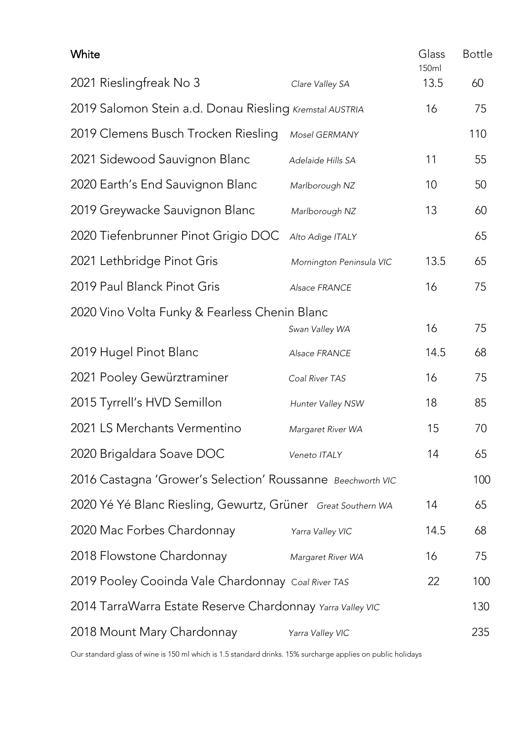| White                                                        |                          | Glass<br>150ml | <b>Bottle</b> |
|--------------------------------------------------------------|--------------------------|----------------|---------------|
| 2021 Rieslingfreak No 3                                      | Clare Valley SA          | 13.5           | 60            |
| 2019 Salomon Stein a.d. Donau Riesling Kremstal AUSTRIA      |                          | 16             | 75            |
| 2019 Clemens Busch Trocken Riesling                          | Mosel GERMANY            |                | 110           |
| 2021 Sidewood Sauvignon Blanc                                | Adelaide Hills SA        | 11             | 55            |
| 2020 Earth's End Sauvignon Blanc                             | Marlborough NZ           | 10             | 50            |
| 2019 Greywacke Sauvignon Blanc                               | Marlborough NZ           | 13             | 60            |
| 2020 Tiefenbrunner Pinot Grigio DOC                          | Alto Adige ITALY         |                | 65            |
| 2021 Lethbridge Pinot Gris                                   | Mornington Peninsula VIC | 13.5           | 65            |
| 2019 Paul Blanck Pinot Gris                                  | Alsace FRANCE            | 16             | 75            |
| 2020 Vino Volta Funky & Fearless Chenin Blanc                | Swan Valley WA           | 16             | 75            |
| 2019 Hugel Pinot Blanc                                       | Alsace FRANCE            | 14.5           | 68            |
| 2021 Pooley Gewürztraminer                                   | Coal River TAS           | 16             | 75            |
| 2015 Tyrrell's HVD Semillon                                  | Hunter Valley NSW        | 18             | 85            |
| 2021 LS Merchants Vermentino                                 | Margaret River WA        | 15             | 70            |
| 2020 Brigaldara Soave DOC                                    | Veneto ITALY             | 14             | 65            |
| 2016 Castagna 'Grower's Selection' Roussanne Beechworth VIC  |                          |                | 100           |
| 2020 Yé Yé Blanc Riesling, Gewurtz, Grüner Great Southern WA |                          | 14             | 65            |
| 2020 Mac Forbes Chardonnay                                   | Yarra Valley VIC         | 14.5           | 68            |
| 2018 Flowstone Chardonnay                                    | Margaret River WA        | 16             | 75            |
| 2019 Pooley Cooinda Vale Chardonnay Coal River TAS           |                          |                | 100           |
| 2014 TarraWarra Estate Reserve Chardonnay Yarra Valley VIC   |                          |                | 130           |
| 2018 Mount Mary Chardonnay                                   | Yarra Valley VIC         |                | 235           |

Our standard glass of wine is 150 ml which is 1.5 standard drinks. 15% surcharge applies on public holidays